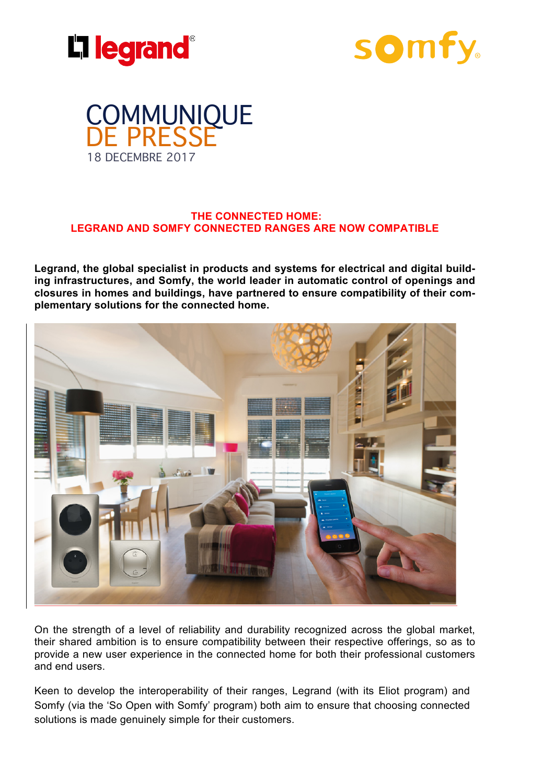





#### **THE CONNECTED HOME: LEGRAND AND SOMFY CONNECTED RANGES ARE NOW COMPATIBLE**

**Legrand, the global specialist in products and systems for electrical and digital building infrastructures, and Somfy, the world leader in automatic control of openings and closures in homes and buildings, have partnered to ensure compatibility of their complementary solutions for the connected home.** 



On the strength of a level of reliability and durability recognized across the global market, their shared ambition is to ensure compatibility between their respective offerings, so as to provide a new user experience in the connected home for both their professional customers and end users.

Keen to develop the interoperability of their ranges, Legrand (with its Eliot program) and Somfy (via the 'So Open with Somfy' program) both aim to ensure that choosing connected solutions is made genuinely simple for their customers.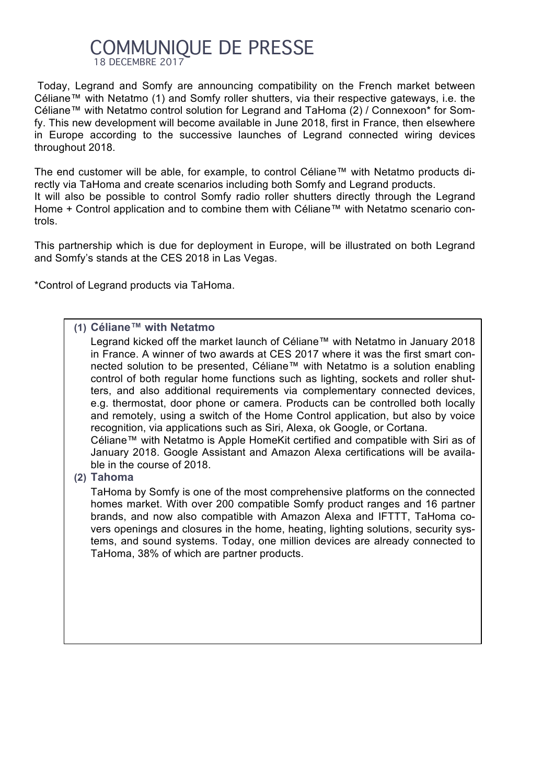# COMMUNIOUE DE PRESSE 18 DECEMBRE 2017

Today, Legrand and Somfy are announcing compatibility on the French market between Céliane™ with Netatmo (1) and Somfy roller shutters, via their respective gateways, i.e. the Céliane™ with Netatmo control solution for Legrand and TaHoma (2) / Connexoon\* for Somfy. This new development will become available in June 2018, first in France, then elsewhere in Europe according to the successive launches of Legrand connected wiring devices throughout 2018.

The end customer will be able, for example, to control Céliane™ with Netatmo products directly via TaHoma and create scenarios including both Somfy and Legrand products. It will also be possible to control Somfy radio roller shutters directly through the Legrand Home + Control application and to combine them with Céliane™ with Netatmo scenario controls.

This partnership which is due for deployment in Europe, will be illustrated on both Legrand and Somfy's stands at the CES 2018 in Las Vegas.

\*Control of Legrand products via TaHoma.

### **(1) Céliane™ with Netatmo**

ble in the course of 2018.

Legrand kicked off the market launch of Céliane™ with Netatmo in January 2018 in France. A winner of two awards at CES 2017 where it was the first smart connected solution to be presented, Céliane™ with Netatmo is a solution enabling control of both regular home functions such as lighting, sockets and roller shutters, and also additional requirements via complementary connected devices, e.g. thermostat, door phone or camera. Products can be controlled both locally and remotely, using a switch of the Home Control application, but also by voice recognition, via applications such as Siri, Alexa, ok Google, or Cortana. Céliane™ with Netatmo is Apple HomeKit certified and compatible with Siri as of January 2018. Google Assistant and Amazon Alexa certifications will be availa-

**(2) Tahoma**

TaHoma by Somfy is one of the most comprehensive platforms on the connected homes market. With over 200 compatible Somfy product ranges and 16 partner brands, and now also compatible with Amazon Alexa and IFTTT, TaHoma covers openings and closures in the home, heating, lighting solutions, security systems, and sound systems. Today, one million devices are already connected to TaHoma, 38% of which are partner products.